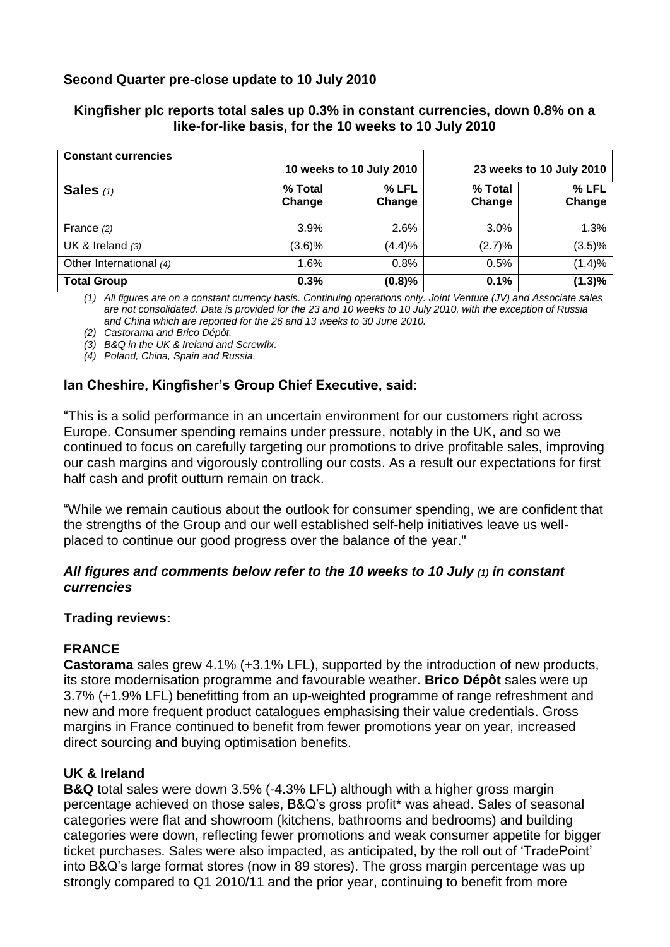# **Second Quarter pre-close update to 10 July 2010**

### **Kingfisher plc reports total sales up 0.3% in constant currencies, down 0.8% on a like-for-like basis, for the 10 weeks to 10 July 2010**

| <b>Constant currencies</b> |                          |                 |                          |                 |
|----------------------------|--------------------------|-----------------|--------------------------|-----------------|
|                            | 10 weeks to 10 July 2010 |                 | 23 weeks to 10 July 2010 |                 |
| Sales $(1)$                | % Total<br>Change        | % LFL<br>Change | % Total<br>Change        | % LFL<br>Change |
| France $(2)$               | 3.9%                     | 2.6%            | 3.0%                     | 1.3%            |
| UK & Ireland $(3)$         | $(3.6)\%$                | (4.4)%          | (2.7)%                   | (3.5)%          |
| Other International (4)    | 1.6%                     | 0.8%            | 0.5%                     | (1.4)%          |
| <b>Total Group</b>         | 0.3%                     | (0.8)%          | 0.1%                     | (1.3)%          |

*(1) All figures are on a constant currency basis. Continuing operations only. Joint Venture (JV) and Associate sales are not consolidated. Data is provided for the 23 and 10 weeks to 10 July 2010, with the exception of Russia and China which are reported for the 26 and 13 weeks to 30 June 2010.* 

*(2) Castorama and Brico Dépôt.*

*(3) B&Q in the UK & Ireland and Screwfix.*

*(4) Poland, China, Spain and Russia.*

# **Ian Cheshire, Kingfisher's Group Chief Executive, said:**

"This is a solid performance in an uncertain environment for our customers right across Europe. Consumer spending remains under pressure, notably in the UK, and so we continued to focus on carefully targeting our promotions to drive profitable sales, improving our cash margins and vigorously controlling our costs. As a result our expectations for first half cash and profit outturn remain on track.

"While we remain cautious about the outlook for consumer spending, we are confident that the strengths of the Group and our well established self-help initiatives leave us wellplaced to continue our good progress over the balance of the year."

### *All figures and comments below refer to the 10 weeks to 10 July (1) in constant currencies*

#### **Trading reviews:**

### **FRANCE**

**Castorama** sales grew 4.1% (+3.1% LFL), supported by the introduction of new products, its store modernisation programme and favourable weather. **Brico Dépôt** sales were up 3.7% (+1.9% LFL) benefitting from an up-weighted programme of range refreshment and new and more frequent product catalogues emphasising their value credentials. Gross margins in France continued to benefit from fewer promotions year on year, increased direct sourcing and buying optimisation benefits.

### **UK & Ireland**

**B&Q** total sales were down 3.5% (-4.3% LFL) although with a higher gross margin percentage achieved on those sales, B&Q's gross profit\* was ahead. Sales of seasonal categories were flat and showroom (kitchens, bathrooms and bedrooms) and building categories were down, reflecting fewer promotions and weak consumer appetite for bigger ticket purchases. Sales were also impacted, as anticipated, by the roll out of 'TradePoint' into B&Q's large format stores (now in 89 stores). The gross margin percentage was up strongly compared to Q1 2010/11 and the prior year, continuing to benefit from more